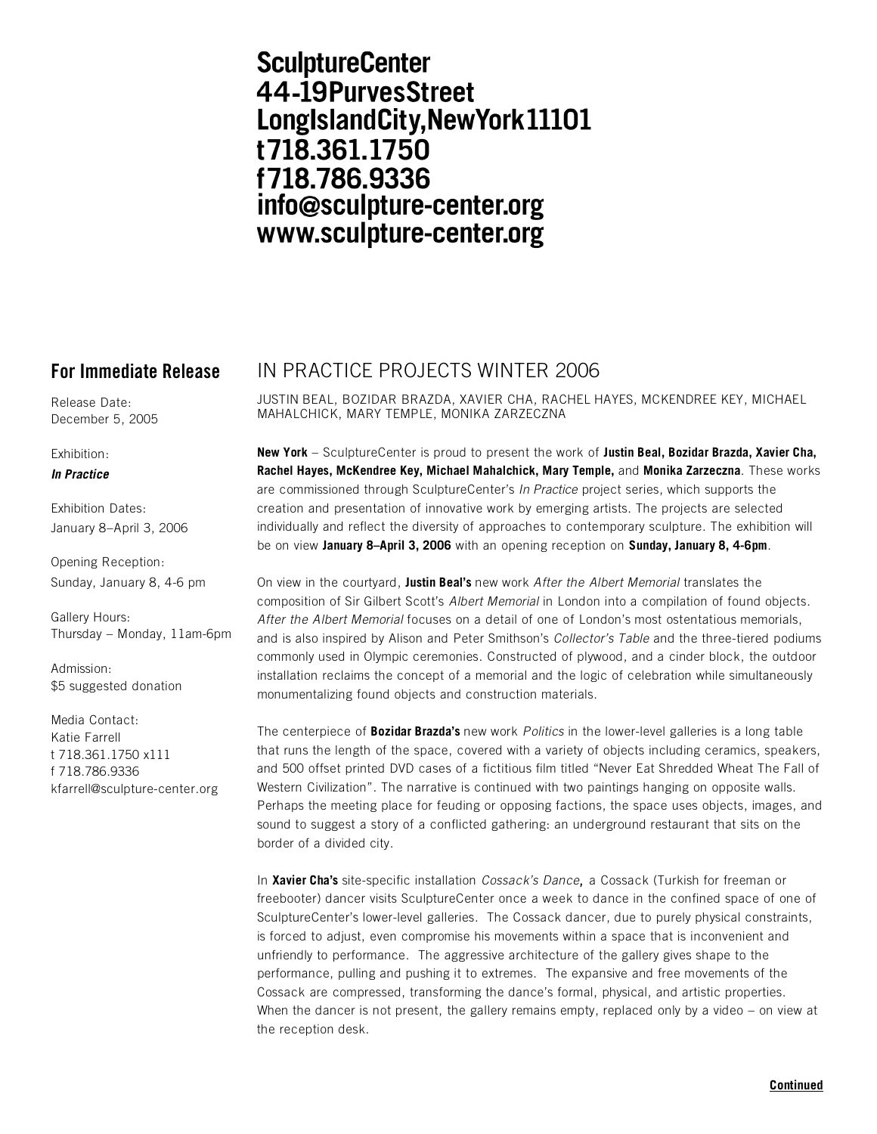# **SculptureCenter** 44-19PurvesStreet LongIslandCity, New York 11101 t718.361.1750 f718.786.9336 info@sculpture-center.org www.sculpture-center.org

Release Date: December 5, 2005

Exhibition:

## *In Practice*

Exhibition Dates: January 8–April 3, 2006

Opening Reception: Sunday, January 8, 4-6 pm

Gallery Hours: Thursday – Monday, 11am-6pm

Admission: \$5 suggested donation

Media Contact: Katie Farrell t 718.361.1750 x111 f 718.786.9336 kfarrell@sculpture-center.org

## **For Immediate Release** IN PRACTICE PROJECTS WINTER 2006

JUSTIN BEAL, BOZIDAR BRAZDA, XAVIER CHA, RACHEL HAYES, MCKENDREE KEY, MICHAEL MAHALCHICK, MARY TEMPLE, MONIKA ZARZECZNA

**New York** – SculptureCenter is proud to present the work of **Justin Beal, Bozidar Brazda, Xavier Cha, Rachel Hayes, McKendree Key, Michael Mahalchick, Mary Temple,** and **Monika Zarzeczna**. These works are commissioned through SculptureCenter's *In Practice* project series, which supports the creation and presentation of innovative work by emerging artists. The projects are selected individually and reflect the diversity of approaches to contemporary sculpture. The exhibition will be on view **January 8–April 3, 2006** with an opening reception on **Sunday, January 8, 4-6pm**.

On view in the courtyard, **Justin Beal's** new work *After the Albert Memorial* translates the composition of Sir Gilbert Scott's *Albert Memorial* in London into a compilation of found objects. *After the Albert Memorial* focuses on a detail of one of London's most ostentatious memorials, and is also inspired by Alison and Peter Smithson's *Collector's Table* and the three-tiered podiums commonly used in Olympic ceremonies. Constructed of plywood, and a cinder block, the outdoor installation reclaims the concept of a memorial and the logic of celebration while simultaneously monumentalizing found objects and construction materials.

The centerpiece of **Bozidar Brazda's** new work *Politics* in the lower-level galleries is a long table that runs the length of the space, covered with a variety of objects including ceramics, speakers, and 500 offset printed DVD cases of a fictitious film titled "Never Eat Shredded Wheat The Fall of Western Civilization". The narrative is continued with two paintings hanging on opposite walls. Perhaps the meeting place for feuding or opposing factions, the space uses objects, images, and sound to suggest a story of a conflicted gathering: an underground restaurant that sits on the border of a divided city.

In **Xavier Cha's** site-specific installation *Cossack's Dance*, a Cossack (Turkish for freeman or freebooter) dancer visits SculptureCenter once a week to dance in the confined space of one of SculptureCenter's lower-level galleries. The Cossack dancer, due to purely physical constraints, is forced to adjust, even compromise his movements within a space that is inconvenient and unfriendly to performance. The aggressive architecture of the gallery gives shape to the performance, pulling and pushing it to extremes. The expansive and free movements of the Cossack are compressed, transforming the dance's formal, physical, and artistic properties. When the dancer is not present, the gallery remains empty, replaced only by a video - on view at the reception desk.